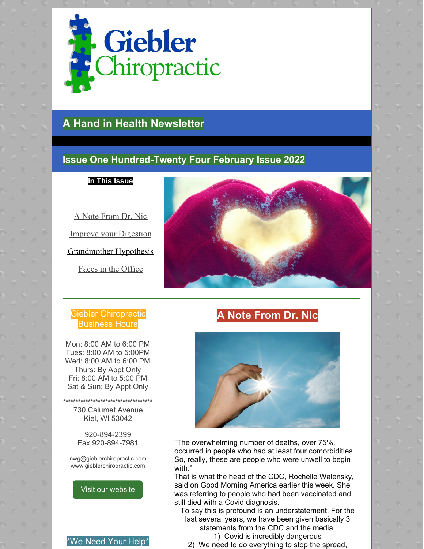

# **A Hand in Health Newsletter**

# **Issue One Hundred-Twenty Four February Issue 2022**

**In This Issue**

A Note From Dr. Nic Improve your Digestion Grandmother Hypothesis Faces in the Office

## Giebler Chiropractic Business Hours

Mon: 8:00 AM to 6:00 PM Tues: 8:00 AM to 5:00PM Wed: 8:00 AM to 6:00 PM Thurs: By Appt Only Fri: 8:00 AM to 5:00 PM Sat & Sun: By Appt Only

**\*\*\*\*\*\*\*\*\*\*\*\*\*\*\*\*\*\*\*\*\*\*\*\*\*\*\*\*\*\*\*\*\*\*\*\*** 730 Calumet Avenue Kiel, WI 53042

> 920-894-2399 Fax 920-894-7981

nwg@gieblerchiropractic.com www.gieblerchiropractic.com

#### Visit our [website](http://www.gieblerchiropractic.com)





# **A Note From Dr. Nic**



"The overwhelming number of deaths, over 75%, occurred in people who had at least four comorbidities. So, really, these are people who were unwell to begin with."

That is what the head of the CDC, Rochelle Walensky, said on Good Morning America earlier this week. She was referring to people who had been vaccinated and still died with a Covid diagnosis.

To say this is profound is an understatement. For the last several years, we have been given basically 3 statements from the CDC and the media:

1) Covid is incredibly dangerous 2) We need to do everything to stop the spread,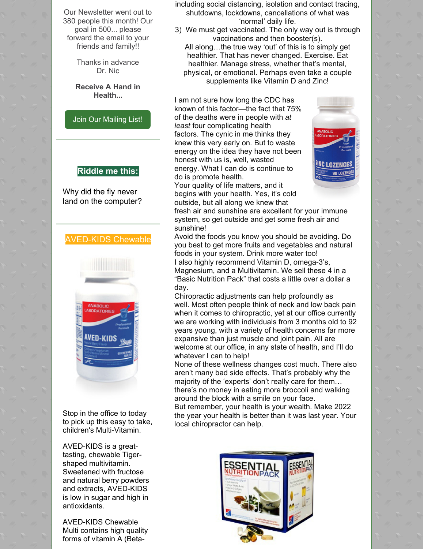Our Newsletter went out to 380 people this month! Our goal in 500... please forward the email to your friends and family!!

> Thanks in advance Dr. Nic

**Receive A Hand in Health...**

Join Our [Mailing](http://www.gieblerchiropractic.com/newsletter/) List!

#### **Riddle me this:**

Why did the fly never land on the computer?

### AVED-KIDS Chewable



Stop in the office to today to pick up this easy to take, children's Multi-Vitamin.

AVED-KIDS is a greattasting, chewable Tigershaped multivitamin. Sweetened with fructose and natural berry powders and extracts, AVED-KIDS is low in sugar and high in antioxidants.

AVED-KIDS Chewable Multi contains high quality forms of vitamin A (Betaincluding social distancing, isolation and contact tracing, shutdowns, lockdowns, cancellations of what was 'normal' daily life.

- 3) We must get vaccinated. The only way out is through vaccinations and then booster(s).
	- All along…the true way 'out' of this is to simply get healthier. That has never changed. Exercise. Eat healthier. Manage stress, whether that's mental, physical, or emotional. Perhaps even take a couple supplements like Vitamin D and Zinc!

I am not sure how long the CDC has known of this factor—the fact that 75% of the deaths were in people with *at least* four complicating health factors. The cynic in me thinks they knew this very early on. But to waste energy on the idea they have not been honest with us is, well, wasted energy. What I can do is continue to do is promote health.

Your quality of life matters, and it begins with your health. Yes, it's cold outside, but all along we knew that



fresh air and sunshine are excellent for your immune system, so get outside and get some fresh air and sunshine!

Avoid the foods you know you should be avoiding. Do you best to get more fruits and vegetables and natural foods in your system. Drink more water too! I also highly recommend Vitamin D, omega-3's, Magnesium, and a Multivitamin. We sell these 4 in a "Basic Nutrition Pack" that costs a little over a dollar a day.

Chiropractic adjustments can help profoundly as well. Most often people think of neck and low back pain when it comes to chiropractic, yet at our office currently we are working with individuals from 3 months old to 92 years young, with a variety of health concerns far more expansive than just muscle and joint pain. All are welcome at our office, in any state of health, and I'll do whatever I can to help!

None of these wellness changes cost much. There also aren't many bad side effects. That's probably why the majority of the 'experts' don't really care for them… there's no money in eating more broccoli and walking around the block with a smile on your face. But remember, your health is your wealth. Make 2022

the year your health is better than it was last year. Your local chiropractor can help.

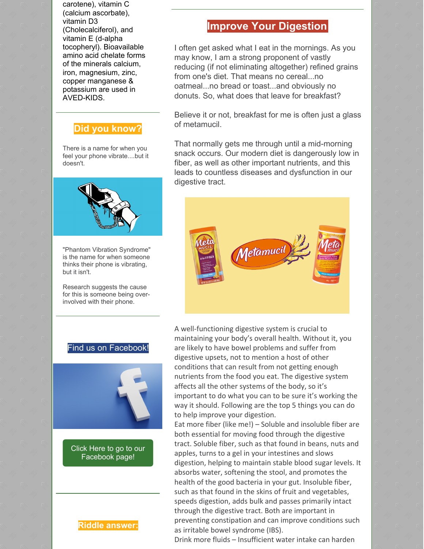carotene), vitamin C (calcium ascorbate), vitamin D3 (Cholecalciferol), and vitamin E (d-alpha tocopheryl). Bioavailable amino acid chelate forms of the minerals calcium, iron, magnesium, zinc, copper manganese & potassium are used in AVED-KIDS.

# **Did you know?**

There is a name for when you feel your phone vibrate....but it doesn't.

"Phantom Vibration Syndrome" is the name for when someone thinks their phone is vibrating, but it isn't.

Research suggests the cause for this is someone being overinvolved with their phone.

### Find us on Facebook!



Click Here to go to our [Facebook](https://www.facebook.com/gieblerchiro/) page!

**Riddle answer:**

of metamucil.

That normally gets me through until a mid-morning snack occurs. Our modern diet is dangerously low in fiber, as well as other important nutrients, and this leads to countless diseases and dysfunction in our digestive tract.

**Improve Your Digestion**

I often get asked what I eat in the mornings. As you

reducing (if not eliminating altogether) refined grains

Believe it or not, breakfast for me is often just a glass

may know, I am a strong proponent of vastly

from one's diet. That means no cereal...no oatmeal...no bread or toast...and obviously no donuts. So, what does that leave for breakfast?



A well-functioning digestive system is crucial to maintaining your body's overall health. Without it, you are likely to have bowel problems and suffer from digestive upsets, not to mention a host of other conditions that can result from not getting enough nutrients from the food you eat. The digestive system affects all the other systems of the body, so it's important to do what you can to be sure it's working the way it should. Following are the top 5 things you can do to help improve your digestion.

Eat more fiber (like me!) – Soluble and insoluble fiber are both essential for moving food through the digestive tract. Soluble fiber, such as that found in beans, nuts and apples, turns to a gel in your intestines and slows digestion, helping to maintain stable blood sugar levels. It absorbs water, softening the stool, and promotes the health of the good bacteria in your gut. Insoluble fiber, such as that found in the skins of fruit and vegetables, speeds digestion, adds bulk and passes primarily intact through the digestive tract. Both are important in preventing constipation and can improve conditions such as irritable bowel syndrome (IBS).

Drink more fluids – Insufficient water intake can harden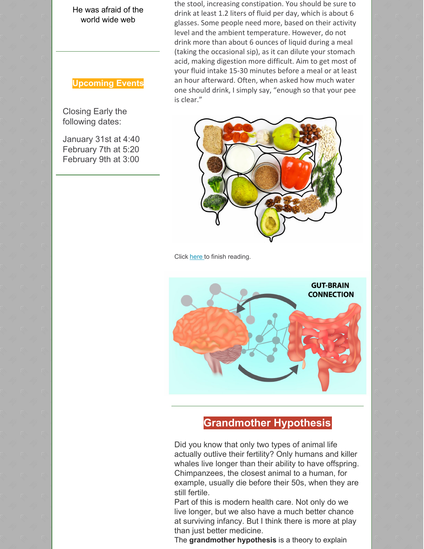He was afraid of the world wide web

## **Upcoming Events**

Closing Early the following dates:

January 31st at 4:40 February 7th at 5:20 February 9th at 3:00

the stool, increasing constipation. You should be sure to drink at least 1.2 liters of fluid per day, which is about 6 glasses. Some people need more, based on their activity level and the ambient temperature. However, do not drink more than about 6 ounces of liquid during a meal (taking the occasional sip), as it can dilute your stomach acid, making digestion more difficult. Aim to get most of your fluid intake 15-30 minutes before a meal or at least an hour afterward. Often, when asked how much water one should drink, I simply say, "enough so that your pee is clear."



Click [here](https://gieblerchiropractic.blogspot.com/2022/01/improve-your-digestion.html) to finish reading.



# **Grandmother Hypothesis**

Did you know that only two types of animal life actually outlive their fertility? Only humans and killer whales live longer than their ability to have offspring. Chimpanzees, the closest animal to a human, for example, usually die before their 50s, when they are still fertile.

Part of this is modern health care. Not only do we live longer, but we also have a much better chance at surviving infancy. But I think there is more at play than just better medicine.

The **grandmother hypothesis** is a theory to explain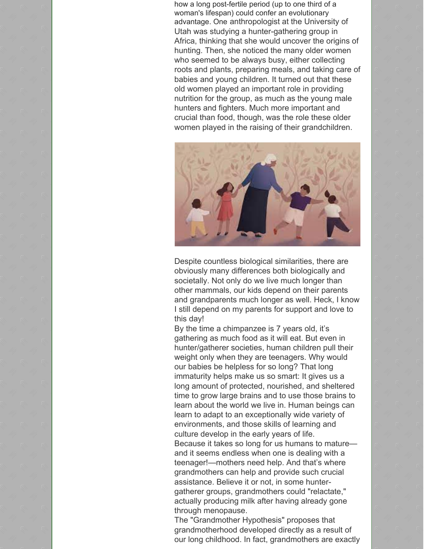how a long post-fertile period (up to one third of a woman's lifespan) could confer an evolutionary advantage. One anthropologist at the University of Utah was studying a hunter-gathering group in Africa, thinking that she would uncover the origins of hunting. Then, she noticed the many older women who seemed to be always busy, either collecting roots and plants, preparing meals, and taking care of babies and young children. It turned out that these old women played an important role in providing nutrition for the group, as much as the young male hunters and fighters. Much more important and crucial than food, though, was the role these older women played in the raising of their grandchildren.



Despite countless biological similarities, there are obviously many differences both biologically and societally. Not only do we live much longer than other mammals, our kids depend on their parents and grandparents much longer as well. Heck, I know I still depend on my parents for support and love to this day!

By the time a chimpanzee is 7 years old, it's gathering as much food as it will eat. But even in hunter/gatherer societies, human children pull their weight only when they are teenagers. Why would our babies be helpless for so long? That long immaturity helps make us so smart: It gives us a long amount of protected, nourished, and sheltered time to grow large brains and to use those brains to learn about the world we live in. Human beings can learn to adapt to an exceptionally wide variety of environments, and those skills of learning and culture develop in the early years of life. Because it takes so long for us humans to mature and it seems endless when one is dealing with a teenager!—mothers need help. And that's where grandmothers can help and provide such crucial assistance. Believe it or not, in some huntergatherer groups, grandmothers could "relactate," actually producing milk after having already gone through menopause.

The "Grandmother Hypothesis" proposes that grandmotherhood developed directly as a result of our long childhood. In fact, grandmothers are exactly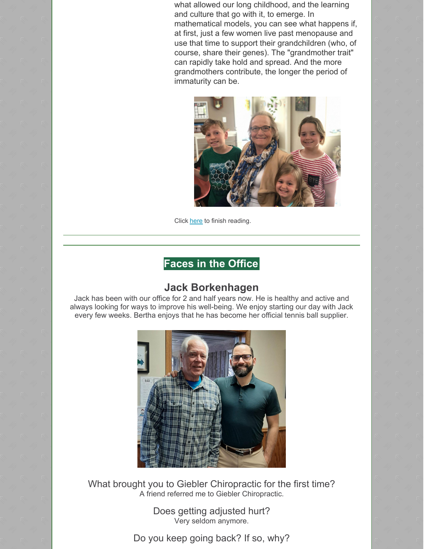what allowed our long childhood, and the learning and culture that go with it, to emerge. In mathematical models, you can see what happens if, at first, just a few women live past menopause and use that time to support their grandchildren (who, of course, share their genes). The "grandmother trait" can rapidly take hold and spread. And the more grandmothers contribute, the longer the period of immaturity can be.



Click [here](https://gieblerchiropractic.blogspot.com/2022/01/grandmother-hypothesis.html) to finish reading.

# **Faces in the Office**

# **Jack Borkenhagen**

Jack has been with our office for 2 and half years now. He is healthy and active and always looking for ways to improve his well-being. We enjoy starting our day with Jack every few weeks. Bertha enjoys that he has become her official tennis ball supplier.



What brought you to Giebler Chiropractic for the first time? A friend referred me to Giebler Chiropractic.

> Does getting adjusted hurt? Very seldom anymore.

Do you keep going back? If so, why?